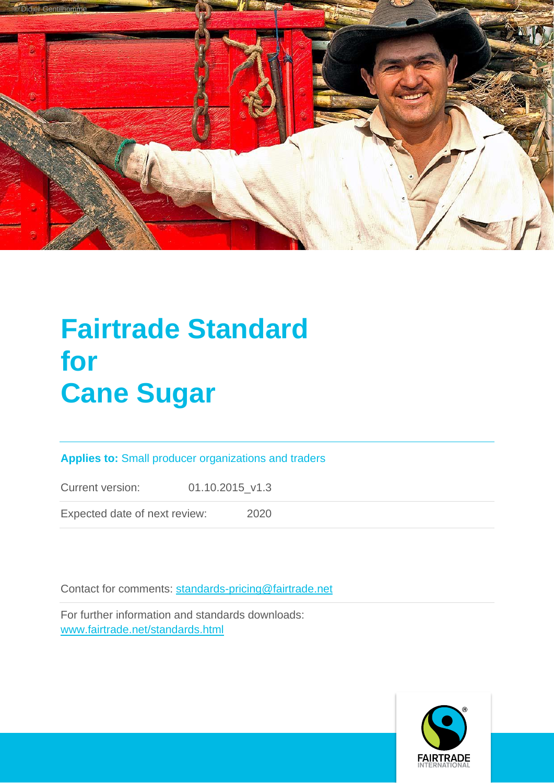

# **Fairtrade Standard for Cane Sugar**

## **Applies to:** Small producer organizations and traders

Current version: 01.10.2015\_v1.3

Expected date of next review: 2020

Contact for comments: [standards-pricing@fairtrade.net](mailto:standards-pricing@fairtrade.net)

For further information and standards downloads: [www.fairtrade.net/standards.html](http://www.fairtrade.net/standards.html)

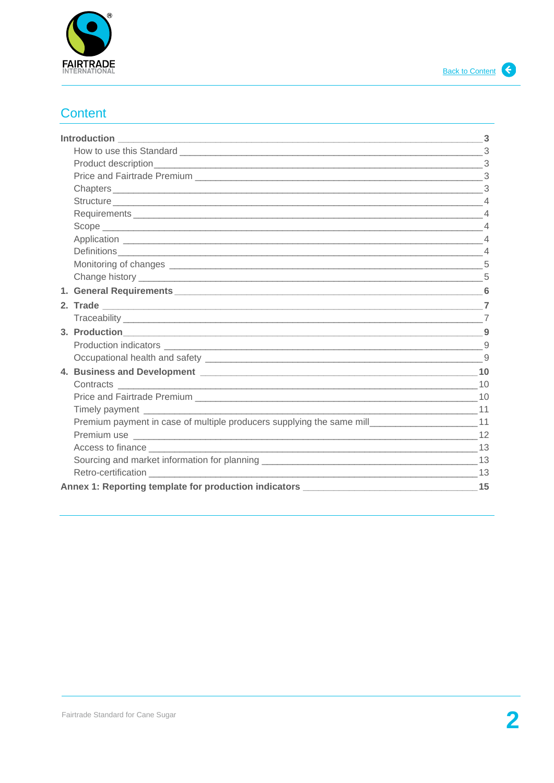<span id="page-1-1"></span>

# <span id="page-1-0"></span>**Content**

|                                                                                                                                                                                                                                | -3 |
|--------------------------------------------------------------------------------------------------------------------------------------------------------------------------------------------------------------------------------|----|
|                                                                                                                                                                                                                                |    |
|                                                                                                                                                                                                                                |    |
|                                                                                                                                                                                                                                |    |
|                                                                                                                                                                                                                                |    |
|                                                                                                                                                                                                                                |    |
| Requirements 4                                                                                                                                                                                                                 |    |
|                                                                                                                                                                                                                                |    |
|                                                                                                                                                                                                                                |    |
|                                                                                                                                                                                                                                |    |
|                                                                                                                                                                                                                                |    |
|                                                                                                                                                                                                                                | 5  |
| 1. General Requirements 6 and the set of the set of the set of the set of the set of the set of the set of the                                                                                                                 |    |
|                                                                                                                                                                                                                                |    |
|                                                                                                                                                                                                                                |    |
|                                                                                                                                                                                                                                |    |
|                                                                                                                                                                                                                                | 9  |
|                                                                                                                                                                                                                                |    |
| 4. Business and Development League and Contract and Contract and Contract and Contract and Contract and Contract and Contract and Contract and Contract and Contract and Contract and Contract and Contract and Contract and C |    |
| Contracts 10                                                                                                                                                                                                                   |    |
|                                                                                                                                                                                                                                |    |
|                                                                                                                                                                                                                                |    |
| Premium payment in case of multiple producers supplying the same mill_________________________11                                                                                                                               |    |
|                                                                                                                                                                                                                                |    |
|                                                                                                                                                                                                                                |    |
|                                                                                                                                                                                                                                |    |
| Retro-certification 13                                                                                                                                                                                                         |    |
|                                                                                                                                                                                                                                |    |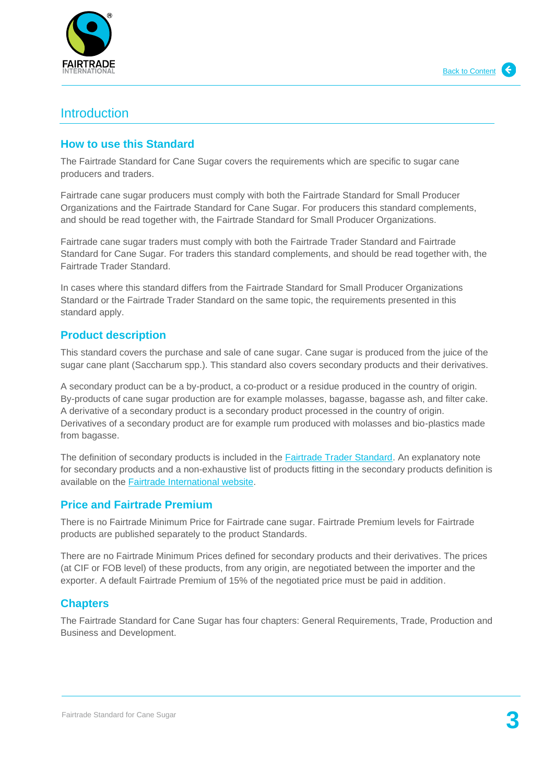

# <span id="page-2-0"></span>**Introduction**

## <span id="page-2-1"></span>**How to use this Standard**

The Fairtrade Standard for Cane Sugar covers the requirements which are specific to sugar cane producers and traders.

Fairtrade cane sugar producers must comply with both the Fairtrade Standard for Small Producer Organizations and the Fairtrade Standard for Cane Sugar. For producers this standard complements, and should be read together with, the Fairtrade Standard for Small Producer Organizations.

Fairtrade cane sugar traders must comply with both the Fairtrade Trader Standard and Fairtrade Standard for Cane Sugar. For traders this standard complements, and should be read together with, the Fairtrade Trader Standard.

In cases where this standard differs from the Fairtrade Standard for Small Producer Organizations Standard or the Fairtrade Trader Standard on the same topic, the requirements presented in this standard apply.

## <span id="page-2-2"></span>**Product description**

This standard covers the purchase and sale of cane sugar. Cane sugar is produced from the juice of the sugar cane plant (Saccharum spp.). This standard also covers secondary products and their derivatives.

A secondary product can be a by-product, a co-product or a residue produced in the country of origin. By-products of cane sugar production are for example molasses, bagasse, bagasse ash, and filter cake. A derivative of a secondary product is a secondary product processed in the country of origin. Derivatives of a secondary product are for example rum produced with molasses and bio-plastics made from bagasse.

The definition of secondary products is included in the [Fairtrade Trader Standard.](http://www.fairtrade.net/fileadmin/user_upload/content/2009/standards/documents/generic-standards/TS_EN.pdf) An explanatory note for secondary products and a non-exhaustive list of products fitting in the secondary products definition is available on the **Fairtrade International website**.

## <span id="page-2-3"></span>**Price and Fairtrade Premium**

There is no Fairtrade Minimum Price for Fairtrade cane sugar. Fairtrade Premium levels for Fairtrade products are published separately to the product Standards.

There are no Fairtrade Minimum Prices defined for secondary products and their derivatives. The prices (at CIF or FOB level) of these products, from any origin, are negotiated between the importer and the exporter. A default Fairtrade Premium of 15% of the negotiated price must be paid in addition.

## <span id="page-2-4"></span>**Chapters**

The Fairtrade Standard for Cane Sugar has four chapters: General Requirements, Trade, Production and Business and Development.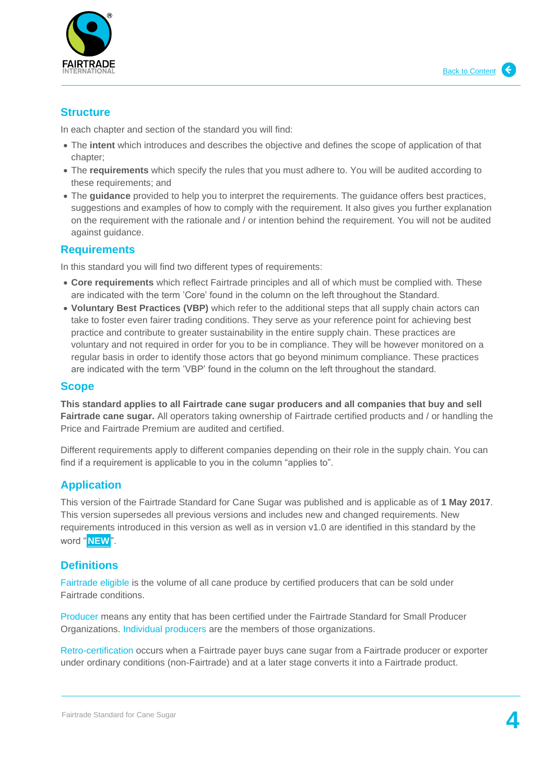

## <span id="page-3-0"></span>**Structure**

In each chapter and section of the standard you will find:

- The **intent** which introduces and describes the objective and defines the scope of application of that chapter;
- The **requirements** which specify the rules that you must adhere to. You will be audited according to these requirements; and
- The **guidance** provided to help you to interpret the requirements. The guidance offers best practices, suggestions and examples of how to comply with the requirement. It also gives you further explanation on the requirement with the rationale and / or intention behind the requirement. You will not be audited against guidance.

## <span id="page-3-1"></span>**Requirements**

In this standard you will find two different types of requirements:

- **Core requirements** which reflect Fairtrade principles and all of which must be complied with. These are indicated with the term 'Core' found in the column on the left throughout the Standard.
- **Voluntary Best Practices (VBP)** which refer to the additional steps that all supply chain actors can take to foster even fairer trading conditions. They serve as your reference point for achieving best practice and contribute to greater sustainability in the entire supply chain. These practices are voluntary and not required in order for you to be in compliance. They will be however monitored on a regular basis in order to identify those actors that go beyond minimum compliance. These practices are indicated with the term 'VBP' found in the column on the left throughout the standard.

## <span id="page-3-2"></span>**Scope**

**This standard applies to all Fairtrade cane sugar producers and all companies that buy and sell Fairtrade cane sugar.** All operators taking ownership of Fairtrade certified products and / or handling the Price and Fairtrade Premium are audited and certified.

Different requirements apply to different companies depending on their role in the supply chain. You can find if a requirement is applicable to you in the column "applies to".

## <span id="page-3-3"></span>**Application**

This version of the Fairtrade Standard for Cane Sugar was published and is applicable as of **1 May 2017**. This version supersedes all previous versions and includes new and changed requirements. New requirements introduced in this version as well as in version v1.0 are identified in this standard by the word " **NEW**".

## <span id="page-3-4"></span>**Definitions**

Fairtrade eligible is the volume of all cane produce by certified producers that can be sold under Fairtrade conditions.

Producer means any entity that has been certified under the Fairtrade Standard for Small Producer Organizations. Individual producers are the members of those organizations.

Retro-certification occurs when a Fairtrade payer buys cane sugar from a Fairtrade producer or exporter under ordinary conditions (non-Fairtrade) and at a later stage converts it into a Fairtrade product.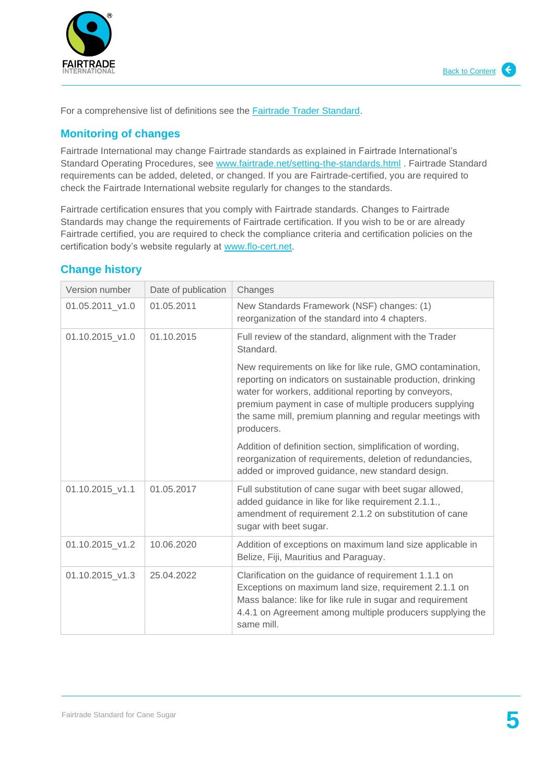

For a comprehensive list of definitions see the **Fairtrade Trader Standard.** 

# <span id="page-4-0"></span>**Monitoring of changes**

Fairtrade International may change Fairtrade standards as explained in Fairtrade International's Standard Operating Procedures, see [www.fairtrade.net/setting-the-standards.html](http://www.fairtrade.net/setting-the-standards.html) . Fairtrade Standard requirements can be added, deleted, or changed. If you are Fairtrade-certified, you are required to check the Fairtrade International website regularly for changes to the standards.

Fairtrade certification ensures that you comply with Fairtrade standards. Changes to Fairtrade Standards may change the requirements of Fairtrade certification. If you wish to be or are already Fairtrade certified, you are required to check the compliance criteria and certification policies on the certification body's website regularly at [www.flo-cert.net.](http://www.flo-cert.net/)

## <span id="page-4-1"></span>**Change history**

| Version number  | Date of publication | Changes                                                                                                                                                                                                                                                                                                                  |
|-----------------|---------------------|--------------------------------------------------------------------------------------------------------------------------------------------------------------------------------------------------------------------------------------------------------------------------------------------------------------------------|
| 01.05.2011 v1.0 | 01.05.2011          | New Standards Framework (NSF) changes: (1)<br>reorganization of the standard into 4 chapters.                                                                                                                                                                                                                            |
| 01.10.2015_v1.0 | 01.10.2015          | Full review of the standard, alignment with the Trader<br>Standard.                                                                                                                                                                                                                                                      |
|                 |                     | New requirements on like for like rule, GMO contamination,<br>reporting on indicators on sustainable production, drinking<br>water for workers, additional reporting by conveyors,<br>premium payment in case of multiple producers supplying<br>the same mill, premium planning and regular meetings with<br>producers. |
|                 |                     | Addition of definition section, simplification of wording,<br>reorganization of requirements, deletion of redundancies,<br>added or improved guidance, new standard design.                                                                                                                                              |
| 01.10.2015 v1.1 | 01.05.2017          | Full substitution of cane sugar with beet sugar allowed,<br>added guidance in like for like requirement 2.1.1.,<br>amendment of requirement 2.1.2 on substitution of cane<br>sugar with beet sugar.                                                                                                                      |
| 01.10.2015 v1.2 | 10.06.2020          | Addition of exceptions on maximum land size applicable in<br>Belize, Fiji, Mauritius and Paraguay.                                                                                                                                                                                                                       |
| 01.10.2015 v1.3 | 25.04.2022          | Clarification on the guidance of requirement 1.1.1 on<br>Exceptions on maximum land size, requirement 2.1.1 on<br>Mass balance: like for like rule in sugar and requirement<br>4.4.1 on Agreement among multiple producers supplying the<br>same mill.                                                                   |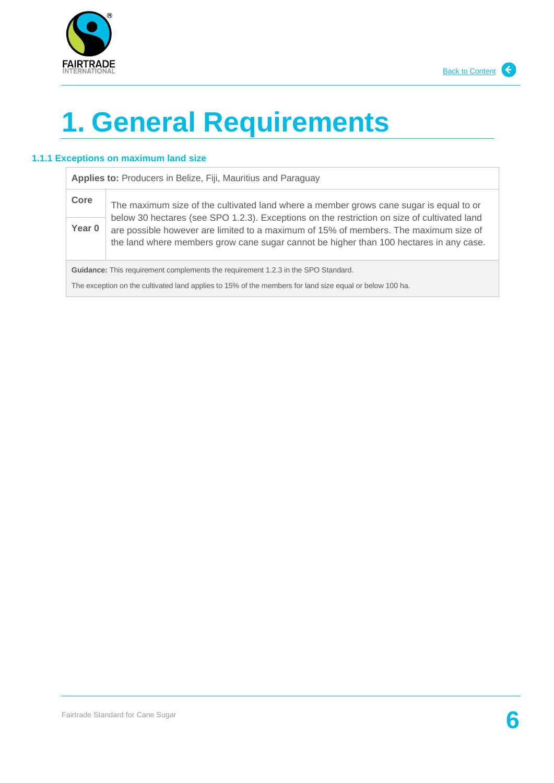



j.

# <span id="page-5-0"></span>**1. General Requirements**

#### **1.1.1 Exceptions on maximum land size**

| Applies to: Producers in Belize, Fiji, Mauritius and Paraguay                                           |                                                                                                                                                                                                                                                                               |  |
|---------------------------------------------------------------------------------------------------------|-------------------------------------------------------------------------------------------------------------------------------------------------------------------------------------------------------------------------------------------------------------------------------|--|
| Core                                                                                                    | The maximum size of the cultivated land where a member grows cane sugar is equal to or                                                                                                                                                                                        |  |
| Year 0                                                                                                  | below 30 hectares (see SPO 1.2.3). Exceptions on the restriction on size of cultivated land<br>are possible however are limited to a maximum of 15% of members. The maximum size of<br>the land where members grow cane sugar cannot be higher than 100 hectares in any case. |  |
|                                                                                                         | Guidance: This requirement complements the requirement 1.2.3 in the SPO Standard.                                                                                                                                                                                             |  |
| The exception on the cultivated land applies to 15% of the members for land size equal or below 100 ha. |                                                                                                                                                                                                                                                                               |  |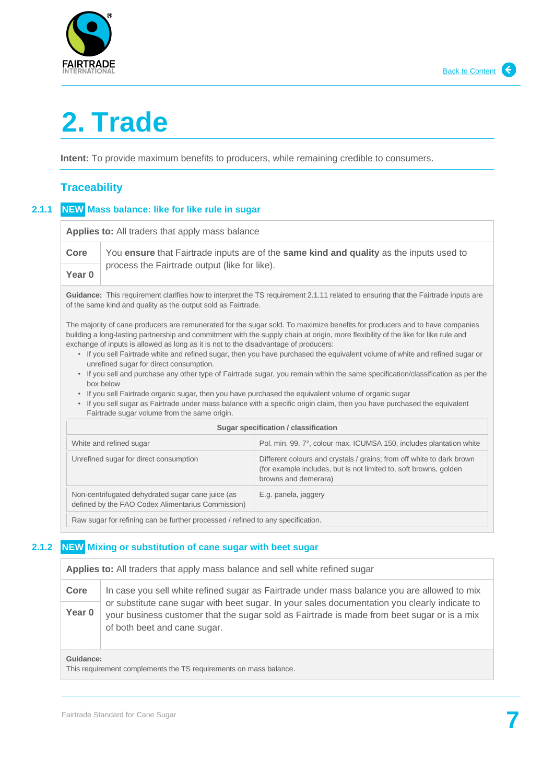



# <span id="page-6-0"></span>**2. Trade**

**Intent:** To provide maximum benefits to producers, while remaining credible to consumers.

# <span id="page-6-1"></span>**Traceability**

## **2.1.1 NEW Mass balance: like for like rule in sugar**

| Applies to: All traders that apply mass balance                                                                                                                                                                                                                                                                                                                                                                                                                                                                                                                                                                                                                                                                                                                                                                                                                                                                                                                                       |                                                                                                                                                                                                    |                                                                                                                                                                    |  |
|---------------------------------------------------------------------------------------------------------------------------------------------------------------------------------------------------------------------------------------------------------------------------------------------------------------------------------------------------------------------------------------------------------------------------------------------------------------------------------------------------------------------------------------------------------------------------------------------------------------------------------------------------------------------------------------------------------------------------------------------------------------------------------------------------------------------------------------------------------------------------------------------------------------------------------------------------------------------------------------|----------------------------------------------------------------------------------------------------------------------------------------------------------------------------------------------------|--------------------------------------------------------------------------------------------------------------------------------------------------------------------|--|
| Core<br>You ensure that Fairtrade inputs are of the same kind and quality as the inputs used to                                                                                                                                                                                                                                                                                                                                                                                                                                                                                                                                                                                                                                                                                                                                                                                                                                                                                       |                                                                                                                                                                                                    |                                                                                                                                                                    |  |
| Year 0                                                                                                                                                                                                                                                                                                                                                                                                                                                                                                                                                                                                                                                                                                                                                                                                                                                                                                                                                                                | process the Fairtrade output (like for like).                                                                                                                                                      |                                                                                                                                                                    |  |
|                                                                                                                                                                                                                                                                                                                                                                                                                                                                                                                                                                                                                                                                                                                                                                                                                                                                                                                                                                                       | Guidance: This requirement clarifies how to interpret the TS requirement 2.1.11 related to ensuring that the Fairtrade inputs are<br>of the same kind and quality as the output sold as Fairtrade. |                                                                                                                                                                    |  |
| The majority of cane producers are remunerated for the sugar sold. To maximize benefits for producers and to have companies<br>building a long-lasting partnership and commitment with the supply chain at origin, more flexibility of the like for like rule and<br>exchange of inputs is allowed as long as it is not to the disadvantage of producers:<br>• If you sell Fairtrade white and refined sugar, then you have purchased the equivalent volume of white and refined sugar or<br>unrefined sugar for direct consumption.<br>• If you sell and purchase any other type of Fairtrade sugar, you remain within the same specification/classification as per the<br>box below<br>• If you sell Fairtrade organic sugar, then you have purchased the equivalent volume of organic sugar<br>If you sell sugar as Fairtrade under mass balance with a specific origin claim, then you have purchased the equivalent<br>$\bullet$<br>Fairtrade sugar volume from the same origin. |                                                                                                                                                                                                    |                                                                                                                                                                    |  |
|                                                                                                                                                                                                                                                                                                                                                                                                                                                                                                                                                                                                                                                                                                                                                                                                                                                                                                                                                                                       |                                                                                                                                                                                                    | Sugar specification / classification                                                                                                                               |  |
|                                                                                                                                                                                                                                                                                                                                                                                                                                                                                                                                                                                                                                                                                                                                                                                                                                                                                                                                                                                       | White and refined sugar                                                                                                                                                                            | Pol. min. 99, 7°, colour max. ICUMSA 150, includes plantation white                                                                                                |  |
|                                                                                                                                                                                                                                                                                                                                                                                                                                                                                                                                                                                                                                                                                                                                                                                                                                                                                                                                                                                       | Unrefined sugar for direct consumption                                                                                                                                                             | Different colours and crystals / grains; from off white to dark brown<br>(for example includes, but is not limited to, soft browns, golden<br>browns and demerara) |  |
|                                                                                                                                                                                                                                                                                                                                                                                                                                                                                                                                                                                                                                                                                                                                                                                                                                                                                                                                                                                       | Non-centrifugated dehydrated sugar cane juice (as<br>defined by the FAO Codex Alimentarius Commission)                                                                                             | E.g. panela, jaggery                                                                                                                                               |  |
| Raw sugar for refining can be further processed / refined to any specification.                                                                                                                                                                                                                                                                                                                                                                                                                                                                                                                                                                                                                                                                                                                                                                                                                                                                                                       |                                                                                                                                                                                                    |                                                                                                                                                                    |  |

### **2.1.2 NEW Mixing or substitution of cane sugar with beet sugar**

| Applies to: All traders that apply mass balance and sell white refined sugar |                                                                                                                                                                                                                              |
|------------------------------------------------------------------------------|------------------------------------------------------------------------------------------------------------------------------------------------------------------------------------------------------------------------------|
| Core                                                                         | In case you sell white refined sugar as Fairtrade under mass balance you are allowed to mix                                                                                                                                  |
| Year 0                                                                       | or substitute cane sugar with beet sugar. In your sales documentation you clearly indicate to<br>your business customer that the sugar sold as Fairtrade is made from beet sugar or is a mix<br>of both beet and cane sugar. |

#### **Guidance:**

This requirement complements the TS requirements on mass balance.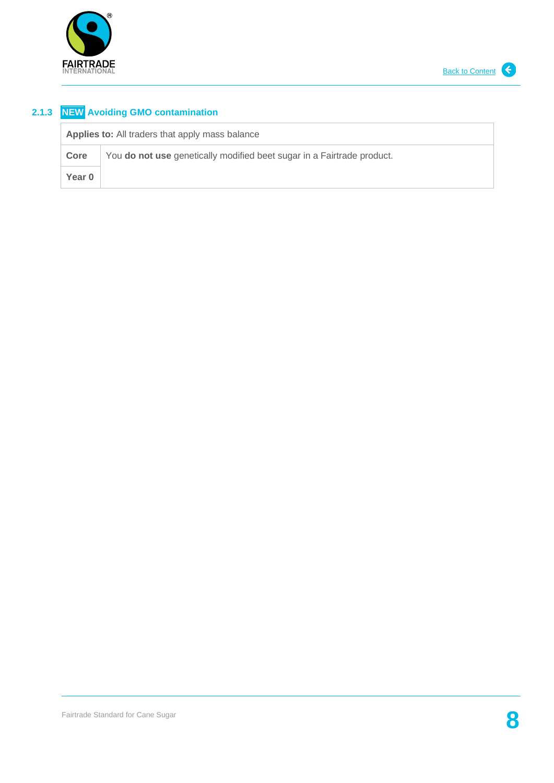

# **2.1.3 NEW Avoiding GMO contamination**

| <b>Applies to:</b> All traders that apply mass balance |                                                                        |
|--------------------------------------------------------|------------------------------------------------------------------------|
| Core                                                   | You do not use genetically modified beet sugar in a Fairtrade product. |
| Year 0                                                 |                                                                        |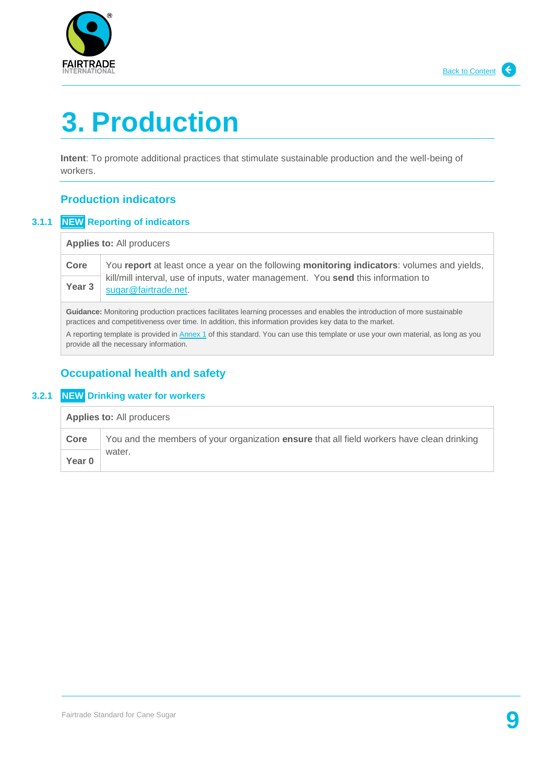

# <span id="page-8-0"></span>**3. Production**

**Intent**: To promote additional practices that stimulate sustainable production and the well-being of workers.

# <span id="page-8-1"></span>**Production indicators**

## **3.1.1 NEW Reporting of indicators**

| <b>Applies to: All producers</b> |  |
|----------------------------------|--|
|----------------------------------|--|

**Core** You **report** at least once a year on the following **monitoring indicators**: volumes and yields, kill/mill interval, use of inputs, water management. You **send** this information to **Year** [sugar@fairtrade.net.](mailto:sugar@fairtrade.net) Year<sub>3</sub>

**Guidance:** Monitoring production practices facilitates learning processes and enables the introduction of more sustainable practices and competitiveness over time. In addition, this information provides key data to the market.

A reporting template is provided in [Annex 1](#page-14-0) of this standard. You can use this template or use your own material, as long as you provide all the necessary information.

# <span id="page-8-2"></span>**Occupational health and safety**

## **3.2.1 NEW Drinking water for workers**

| <b>Applies to: All producers</b> |                                                                                            |
|----------------------------------|--------------------------------------------------------------------------------------------|
| Core                             | You and the members of your organization ensure that all field workers have clean drinking |
| Year 0                           | water.                                                                                     |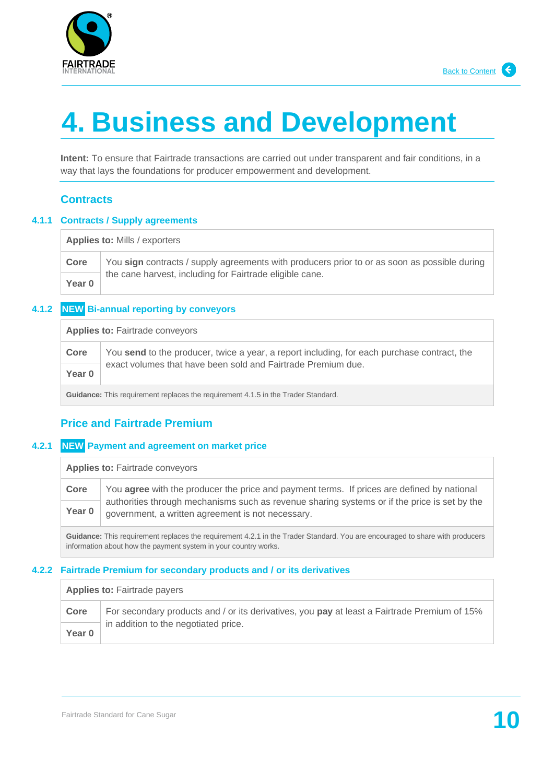

# <span id="page-9-0"></span>**4. Business and Development**

**Intent:** To ensure that Fairtrade transactions are carried out under transparent and fair conditions, in a way that lays the foundations for producer empowerment and development.

## <span id="page-9-1"></span>**Contracts**

#### **4.1.1 Contracts / Supply agreements**

| <b>Applies to: Mills / exporters</b> |                                                                                              |
|--------------------------------------|----------------------------------------------------------------------------------------------|
| Core                                 | You sign contracts / supply agreements with producers prior to or as soon as possible during |
| Year 0                               | the cane harvest, including for Fairtrade eligible cane.                                     |

### **4.1.2 NEW Bi-annual reporting by conveyors**

| <b>Applies to: Fairtrade conveyors</b> |                                                                                                                                                             |
|----------------------------------------|-------------------------------------------------------------------------------------------------------------------------------------------------------------|
| Core                                   | You send to the producer, twice a year, a report including, for each purchase contract, the<br>exact volumes that have been sold and Fairtrade Premium due. |
| Year 0                                 |                                                                                                                                                             |

**Guidance:** This requirement replaces the requirement 4.1.5 in the Trader Standard.

## <span id="page-9-2"></span>**Price and Fairtrade Premium**

#### **4.2.1 NEW Payment and agreement on market price**

**Applies to:** Fairtrade conveyors

| Core   | You <b>agree</b> with the producer the price and payment terms. If prices are defined by national |
|--------|---------------------------------------------------------------------------------------------------|
|        | authorities through mechanisms such as revenue sharing systems or if the price is set by the      |
| Year 0 | government, a written agreement is not necessary.                                                 |

**Guidance:** This requirement replaces the requirement 4.2.1 in the Trader Standard. You are encouraged to share with producers information about how the payment system in your country works.

#### **4.2.2 Fairtrade Premium for secondary products and / or its derivatives**

#### Applies to: Fairtrade payers

| Core   | For secondary products and / or its derivatives, you pay at least a Fairtrade Premium of 15% |
|--------|----------------------------------------------------------------------------------------------|
| Year 0 | in addition to the negotiated price.                                                         |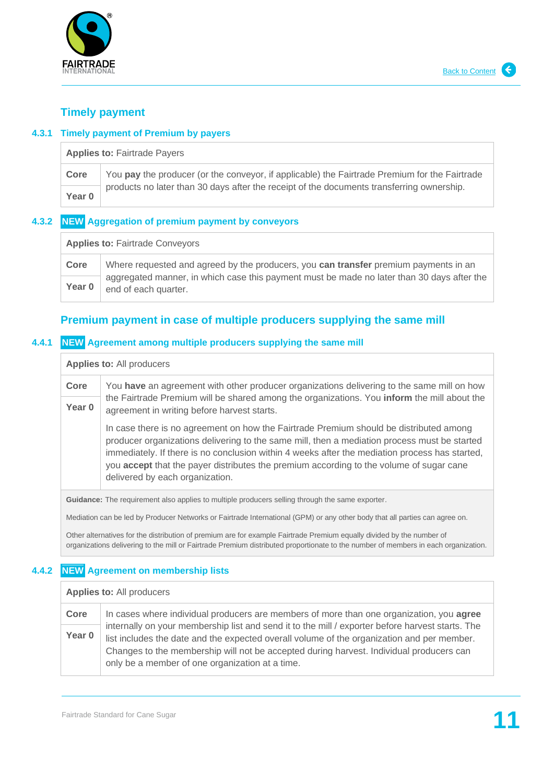

## <span id="page-10-0"></span>**Timely payment**

#### **4.3.1 Timely payment of Premium by payers**

| <b>Applies to: Fairtrade Payers</b> |                                                                                               |  |
|-------------------------------------|-----------------------------------------------------------------------------------------------|--|
| Core                                | You pay the producer (or the conveyor, if applicable) the Fairtrade Premium for the Fairtrade |  |
| Year 0                              | products no later than 30 days after the receipt of the documents transferring ownership.     |  |

### **4.3.2 NEW Aggregation of premium payment by conveyors**

| <b>Applies to: Fairtrade Conveyors</b> |                                                                                                                    |  |
|----------------------------------------|--------------------------------------------------------------------------------------------------------------------|--|
| Core                                   | Where requested and agreed by the producers, you can transfer premium payments in an                               |  |
| Year 0                                 | aggregated manner, in which case this payment must be made no later than 30 days after the<br>end of each quarter. |  |

# <span id="page-10-1"></span>**Premium payment in case of multiple producers supplying the same mill**

#### **4.4.1 NEW Agreement among multiple producers supplying the same mill**

#### **Applies to:** All producers

| Core              | You have an agreement with other producer organizations delivering to the same mill on how                                                                                                                                                                                                                                                                                                                             |
|-------------------|------------------------------------------------------------------------------------------------------------------------------------------------------------------------------------------------------------------------------------------------------------------------------------------------------------------------------------------------------------------------------------------------------------------------|
| Year <sub>0</sub> | the Fairtrade Premium will be shared among the organizations. You inform the mill about the<br>agreement in writing before harvest starts.                                                                                                                                                                                                                                                                             |
|                   | In case there is no agreement on how the Fairtrade Premium should be distributed among<br>producer organizations delivering to the same mill, then a mediation process must be started<br>immediately. If there is no conclusion within 4 weeks after the mediation process has started,<br>you accept that the payer distributes the premium according to the volume of sugar cane<br>delivered by each organization. |

**Guidance:** The requirement also applies to multiple producers selling through the same exporter.

Mediation can be led by Producer Networks or Fairtrade International (GPM) or any other body that all parties can agree on.

Other alternatives for the distribution of premium are for example Fairtrade Premium equally divided by the number of organizations delivering to the mill or Fairtrade Premium distributed proportionate to the number of members in each organization.

## **4.4.2 NEW Agreement on membership lists**

#### **Applies to:** All producers

| Core   | In cases where individual producers are members of more than one organization, you <b>agree</b>                                                                                                                                                                                           |  |
|--------|-------------------------------------------------------------------------------------------------------------------------------------------------------------------------------------------------------------------------------------------------------------------------------------------|--|
| Year 0 | internally on your membership list and send it to the mill / exporter before harvest starts. The<br>list includes the date and the expected overall volume of the organization and per member.<br>Changes to the membership will not be accepted during harvest. Individual producers can |  |
|        | only be a member of one organization at a time.                                                                                                                                                                                                                                           |  |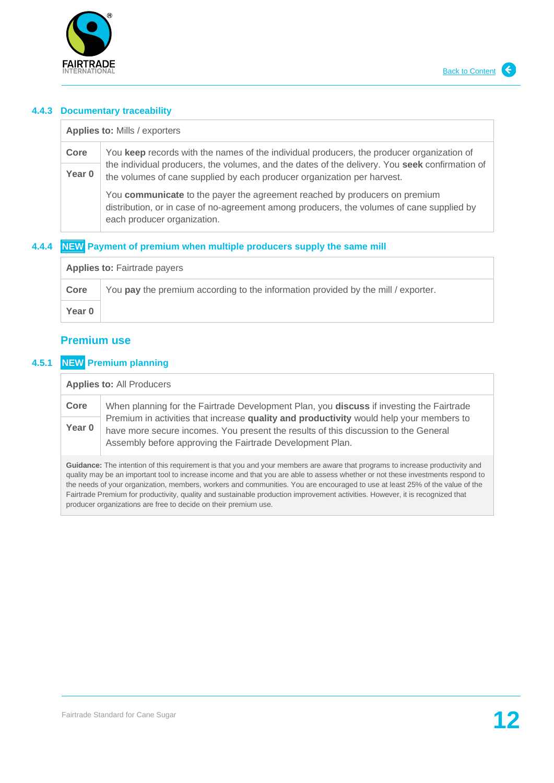

#### **4.4.3 Documentary traceability**

**Applies to:** Mills / exporters **Core** You **keep** records with the names of the individual producers, the producer organization of the individual producers, the volumes, and the dates of the delivery. You **seek** confirmation of the volumes of cane supplied by each producer organization per harvest. You **communicate** to the payer the agreement reached by producers on premium distribution, or in case of no-agreement among producers, the volumes of cane supplied by each producer organization. **Year 0**

### **4.4.4 NEW Payment of premium when multiple producers supply the same mill**

| <b>Applies to: Fairtrade payers</b> |                                                                                   |  |
|-------------------------------------|-----------------------------------------------------------------------------------|--|
| Core                                | You pay the premium according to the information provided by the mill / exporter. |  |
| Year 0                              |                                                                                   |  |

## <span id="page-11-0"></span>**Premium use**

### **4.5.1 NEW Premium planning**

#### **Applies to:** All Producers

| Core   | When planning for the Fairtrade Development Plan, you discuss if investing the Fairtrade                                                                                                                                                    |  |
|--------|---------------------------------------------------------------------------------------------------------------------------------------------------------------------------------------------------------------------------------------------|--|
| Year 0 | Premium in activities that increase quality and productivity would help your members to<br>have more secure incomes. You present the results of this discussion to the General<br>Assembly before approving the Fairtrade Development Plan. |  |

**Guidance:** The intention of this requirement is that you and your members are aware that programs to increase productivity and quality may be an important tool to increase income and that you are able to assess whether or not these investments respond to the needs of your organization, members, workers and communities. You are encouraged to use at least 25% of the value of the Fairtrade Premium for productivity, quality and sustainable production improvement activities. However, it is recognized that producer organizations are free to decide on their premium use.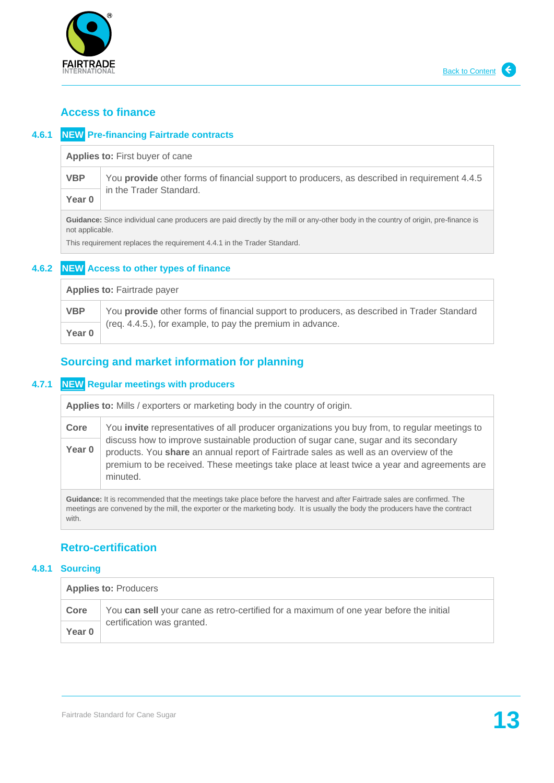

## <span id="page-12-0"></span>**Access to finance**

## **4.6.1 NEW Pre-financing Fairtrade contracts**

**Applies to:** First buyer of cane

**VBP** You **provide** other forms of financial support to producers, as described in requirement 4.4.5 in the Trader Standard. **Year 0**

**Guidance:** Since individual cane producers are paid directly by the mill or any-other body in the country of origin, pre-finance is not applicable.

This requirement replaces the requirement 4.4.1 in the Trader Standard.

## **4.6.2 NEW Access to other types of finance**

| <b>Applies to: Fairtrade payer</b> |                                                                                            |  |
|------------------------------------|--------------------------------------------------------------------------------------------|--|
| <b>VBP</b>                         | You provide other forms of financial support to producers, as described in Trader Standard |  |
| Year 0                             | (req. 4.4.5.), for example, to pay the premium in advance.                                 |  |

## <span id="page-12-1"></span>**Sourcing and market information for planning**

### **4.7.1 NEW Regular meetings with producers**

**Applies to:** Mills / exporters or marketing body in the country of origin.

**Core** You **invite** representatives of all producer organizations you buy from, to regular meetings to discuss how to improve sustainable production of sugar cane, sugar and its secondary products. You **share** an annual report of Fairtrade sales as well as an overview of the premium to be received. These meetings take place at least twice a year and agreements are minuted. **Year 0**

**Guidance:** It is recommended that the meetings take place before the harvest and after Fairtrade sales are confirmed. The meetings are convened by the mill, the exporter or the marketing body. It is usually the body the producers have the contract with.

## <span id="page-12-2"></span>**Retro-certification**

#### **4.8.1 Sourcing**

| <b>Applies to: Producers</b> |                                                                                        |  |
|------------------------------|----------------------------------------------------------------------------------------|--|
| Core                         | You can sell your cane as retro-certified for a maximum of one year before the initial |  |
| Year 0                       | certification was granted.                                                             |  |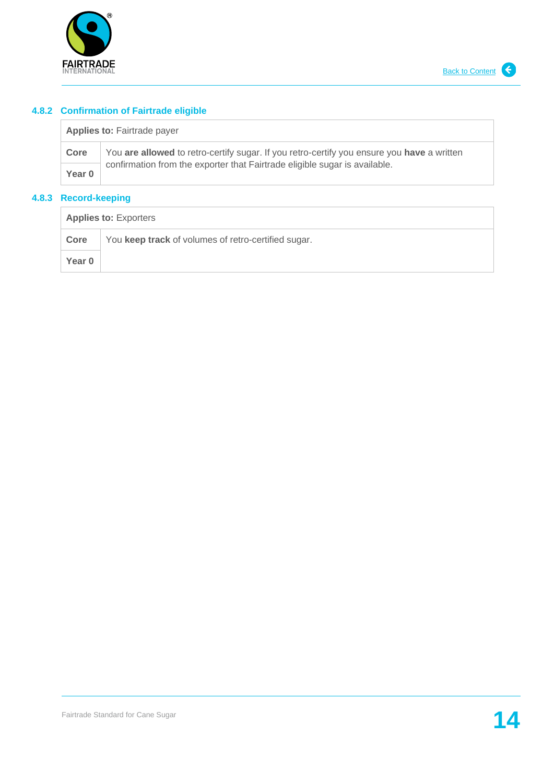

# **4.8.2 Confirmation of Fairtrade eligible**

| <b>Applies to: Fairtrade payer</b> |                                                                                            |  |
|------------------------------------|--------------------------------------------------------------------------------------------|--|
| Core                               | You are allowed to retro-certify sugar. If you retro-certify you ensure you have a written |  |
| Year 0                             | confirmation from the exporter that Fairtrade eligible sugar is available.                 |  |

## **4.8.3 Record-keeping**

| <b>Applies to: Exporters</b> |                                                     |  |
|------------------------------|-----------------------------------------------------|--|
| Core                         | You keep track of volumes of retro-certified sugar. |  |
| Year 0                       |                                                     |  |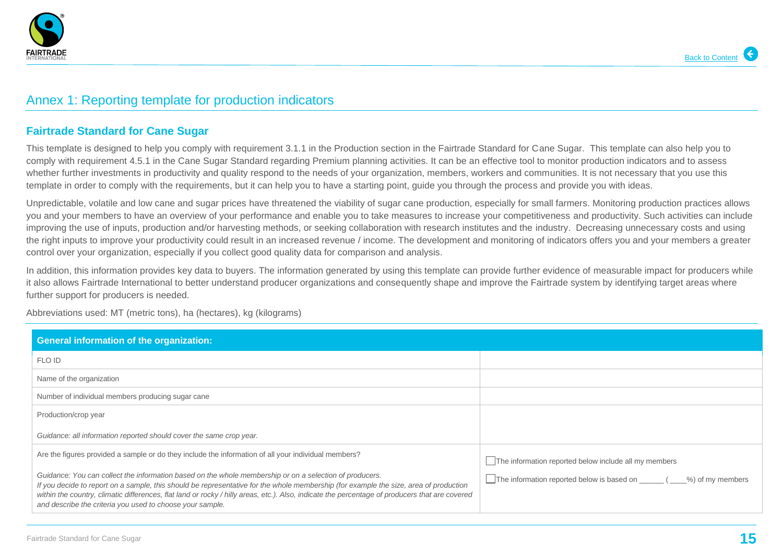

# Annex 1: Reporting template for production indicators

## **Fairtrade Standard for Cane Sugar**

This template is designed to help you comply with requirement 3.1.1 in the Production section in the Fairtrade Standard for Cane Sugar. This template can also help you to comply with requirement 4.5.1 in the Cane Sugar Standard regarding Premium planning activities. It can be an effective tool to monitor production indicators and to assess whether further investments in productivity and quality respond to the needs of your organization, members, workers and communities. It is not necessary that you use this template in order to comply with the requirements, but it can help you to have a starting point, guide you through the process and provide you with ideas.

Unpredictable, volatile and low cane and sugar prices have threatened the viability of sugar cane production, especially for small farmers. Monitoring production practices allows you and your members to have an overview of your performance and enable you to take measures to increase your competitiveness and productivity. Such activities can include improving the use of inputs, production and/or harvesting methods, or seeking collaboration with research institutes and the industry. Decreasing unnecessary costs and using the right inputs to improve your productivity could result in an increased revenue / income. The development and monitoring of indicators offers you and your members a greater control over your organization, especially if you collect good quality data for comparison and analysis.

In addition, this information provides key data to buyers. The information generated by using this template can provide further evidence of measurable impact for producers while it also allows Fairtrade International to better understand producer organizations and consequently shape and improve the Fairtrade system by identifying target areas where further support for producers is needed.

<span id="page-14-0"></span>Abbreviations used: MT (metric tons), ha (hectares), kg (kilograms)

| <b>General information of the organization:</b>                                                                                                                                                                                                                                                                                                                                                                                                                 |                                                                          |
|-----------------------------------------------------------------------------------------------------------------------------------------------------------------------------------------------------------------------------------------------------------------------------------------------------------------------------------------------------------------------------------------------------------------------------------------------------------------|--------------------------------------------------------------------------|
| FLO ID                                                                                                                                                                                                                                                                                                                                                                                                                                                          |                                                                          |
| Name of the organization                                                                                                                                                                                                                                                                                                                                                                                                                                        |                                                                          |
| Number of individual members producing sugar cane                                                                                                                                                                                                                                                                                                                                                                                                               |                                                                          |
| Production/crop year                                                                                                                                                                                                                                                                                                                                                                                                                                            |                                                                          |
| Guidance: all information reported should cover the same crop year.                                                                                                                                                                                                                                                                                                                                                                                             |                                                                          |
| Are the figures provided a sample or do they include the information of all your individual members?                                                                                                                                                                                                                                                                                                                                                            | The information reported below include all my members                    |
| Guidance: You can collect the information based on the whole membership or on a selection of producers.<br>If you decide to report on a sample, this should be representative for the whole membership (for example the size, area of production<br>within the country, climatic differences, flat land or rocky / hilly areas, etc.). Also, indicate the percentage of producers that are covered<br>and describe the criteria you used to choose your sample. | The information reported below is based on ______ ( ____%) of my members |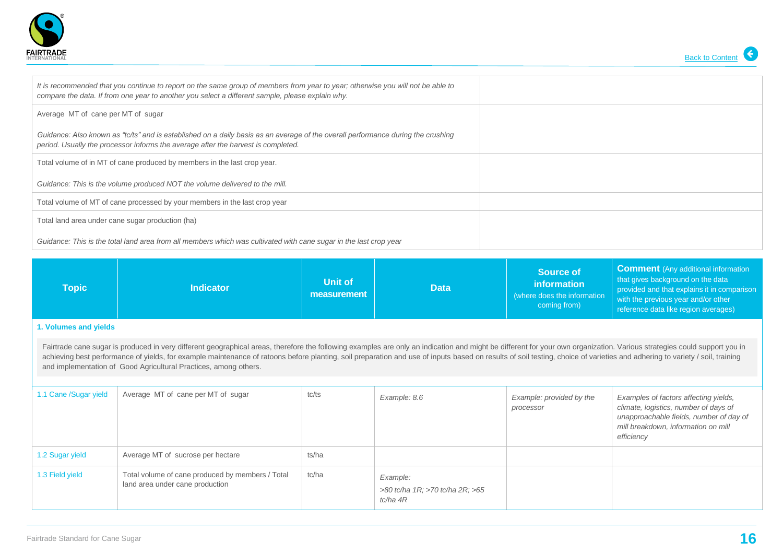



| It is recommended that you continue to report on the same group of members from year to year; otherwise you will not be able to<br>compare the data. If from one year to another you select a different sample, please explain why. |  |
|-------------------------------------------------------------------------------------------------------------------------------------------------------------------------------------------------------------------------------------|--|
| Average MT of cane per MT of sugar                                                                                                                                                                                                  |  |
| Guidance: Also known as "tc/ts" and is established on a daily basis as an average of the overall performance during the crushing<br>period. Usually the processor informs the average after the harvest is completed.               |  |
| Total volume of in MT of cane produced by members in the last crop year.                                                                                                                                                            |  |
| Guidance: This is the volume produced NOT the volume delivered to the mill.                                                                                                                                                         |  |
| Total volume of MT of cane processed by your members in the last crop year                                                                                                                                                          |  |
| Total land area under cane sugar production (ha)                                                                                                                                                                                    |  |
| Guidance: This is the total land area from all members which was cultivated with cane sugar in the last crop year                                                                                                                   |  |

| Topic                                                                                                                                                                                                                                                                                                                                                                                                                                                                                                                       | <b>Indicator</b> | Unit of<br>measurement | <b>Data</b> | <b>Source of</b><br>information<br>(where does the information<br>coming from) | <b>Comment</b> (Any additional information<br>that gives background on the data<br>provided and that explains it in comparison<br>with the previous year and/or other<br>reference data like region averages) |  |  |
|-----------------------------------------------------------------------------------------------------------------------------------------------------------------------------------------------------------------------------------------------------------------------------------------------------------------------------------------------------------------------------------------------------------------------------------------------------------------------------------------------------------------------------|------------------|------------------------|-------------|--------------------------------------------------------------------------------|---------------------------------------------------------------------------------------------------------------------------------------------------------------------------------------------------------------|--|--|
| 1. Volumes and yields                                                                                                                                                                                                                                                                                                                                                                                                                                                                                                       |                  |                        |             |                                                                                |                                                                                                                                                                                                               |  |  |
| Fairtrade cane sugar is produced in very different geographical areas, therefore the following examples are only an indication and might be different for your own organization. Various strategies could support you in<br>achieving best performance of yields, for example maintenance of ratoons before planting, soil preparation and use of inputs based on results of soil testing, choice of varieties and adhering to variety / soil, training<br>and implementation of Good Agricultural Practices, among others. |                  |                        |             |                                                                                |                                                                                                                                                                                                               |  |  |

| 1.1 Cane /Sugar yield | Average MT of cane per MT of sugar                                                  | tc/ts | Example: 8.6                                            | Example: provided by the<br>processor | Examples of factors affecting yields,<br>climate, logistics, number of days of<br>unapproachable fields, number of day of<br>mill breakdown, information on mill<br>efficiency |
|-----------------------|-------------------------------------------------------------------------------------|-------|---------------------------------------------------------|---------------------------------------|--------------------------------------------------------------------------------------------------------------------------------------------------------------------------------|
| 1.2 Sugar yield       | Average MT of sucrose per hectare                                                   | ts/ha |                                                         |                                       |                                                                                                                                                                                |
| 1.3 Field yield       | Total volume of cane produced by members / Total<br>land area under cane production | tc/ha | Example:<br>>80 tc/ha 1R; >70 tc/ha 2R; >65<br>tc/ha 4R |                                       |                                                                                                                                                                                |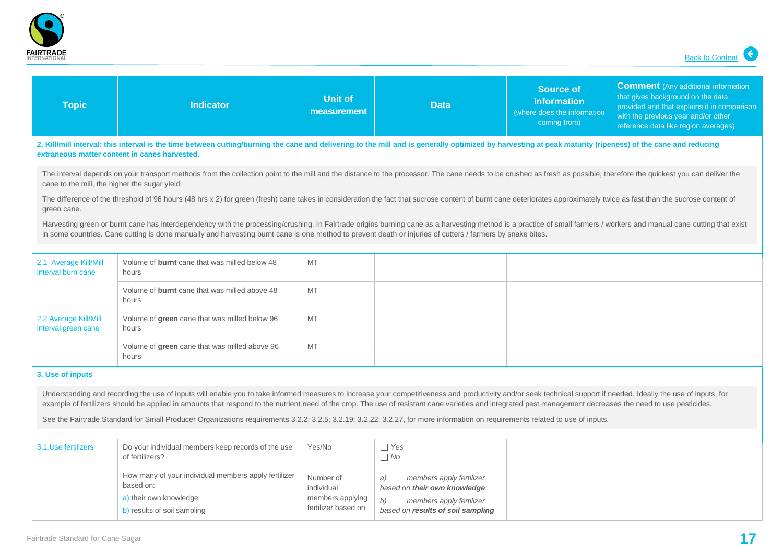

| <b>Topic</b>                                                                                                                                                                                                                                                                                                                                                                                                                     | <b>Indicator</b>                                                                                                                                                                                                                                            | <b>Unit of</b><br>measurement           | <b>Data</b>                                                         | <b>Source of</b><br>information<br>(where does the information<br>coming from) | <b>Comment</b> (Any additional information<br>that gives background on the data<br>provided and that explains it in comparison<br>with the previous year and/or other<br>reference data like region averages) |  |
|----------------------------------------------------------------------------------------------------------------------------------------------------------------------------------------------------------------------------------------------------------------------------------------------------------------------------------------------------------------------------------------------------------------------------------|-------------------------------------------------------------------------------------------------------------------------------------------------------------------------------------------------------------------------------------------------------------|-----------------------------------------|---------------------------------------------------------------------|--------------------------------------------------------------------------------|---------------------------------------------------------------------------------------------------------------------------------------------------------------------------------------------------------------|--|
|                                                                                                                                                                                                                                                                                                                                                                                                                                  | 2. Kill/mill interval: this interval is the time between cutting/burning the cane and delivering to the mill and is generally optimized by harvesting at peak maturity (ripeness) of the cane and reducing<br>extraneous matter content in canes harvested. |                                         |                                                                     |                                                                                |                                                                                                                                                                                                               |  |
| cane to the mill, the higher the sugar yield.                                                                                                                                                                                                                                                                                                                                                                                    | The interval depends on your transport methods from the collection point to the mill and the distance to the processor. The cane needs to be crushed as fresh as possible, therefore the quickest you can deliver the                                       |                                         |                                                                     |                                                                                |                                                                                                                                                                                                               |  |
| green cane.                                                                                                                                                                                                                                                                                                                                                                                                                      | The difference of the threshold of 96 hours (48 hrs x 2) for green (fresh) cane takes in consideration the fact that sucrose content of burnt cane deteriorates approximately twice as fast than the sucrose content of                                     |                                         |                                                                     |                                                                                |                                                                                                                                                                                                               |  |
| Harvesting green or burnt cane has interdependency with the processing/crushing. In Fairtrade origins burning cane as a harvesting method is a practice of small farmers / workers and manual cane cutting that exist<br>in some countries. Cane cutting is done manually and harvesting burnt cane is one method to prevent death or injuries of cutters / farmers by snake bites.                                              |                                                                                                                                                                                                                                                             |                                         |                                                                     |                                                                                |                                                                                                                                                                                                               |  |
| 2.1 Average Kill/Mill<br>interval burn cane                                                                                                                                                                                                                                                                                                                                                                                      | Volume of burnt cane that was milled below 48<br>hours                                                                                                                                                                                                      | MT                                      |                                                                     |                                                                                |                                                                                                                                                                                                               |  |
|                                                                                                                                                                                                                                                                                                                                                                                                                                  | Volume of <b>burnt</b> cane that was milled above 48<br>hours                                                                                                                                                                                               | MT                                      |                                                                     |                                                                                |                                                                                                                                                                                                               |  |
| 2.2 Average Kill/Mill<br>interval green cane                                                                                                                                                                                                                                                                                                                                                                                     | Volume of green cane that was milled below 96<br>hours                                                                                                                                                                                                      | MT                                      |                                                                     |                                                                                |                                                                                                                                                                                                               |  |
|                                                                                                                                                                                                                                                                                                                                                                                                                                  | Volume of green cane that was milled above 96<br>hours                                                                                                                                                                                                      | MT                                      |                                                                     |                                                                                |                                                                                                                                                                                                               |  |
| 3. Use of inputs                                                                                                                                                                                                                                                                                                                                                                                                                 |                                                                                                                                                                                                                                                             |                                         |                                                                     |                                                                                |                                                                                                                                                                                                               |  |
| Understanding and recording the use of inputs will enable you to take informed measures to increase your competitiveness and productivity and/or seek technical support if needed. Ideally the use of inputs, for<br>example of fertilizers should be applied in amounts that respond to the nutrient need of the crop. The use of resistant cane varieties and integrated pest management decreases the need to use pesticides. |                                                                                                                                                                                                                                                             |                                         |                                                                     |                                                                                |                                                                                                                                                                                                               |  |
| See the Fairtrade Standard for Small Producer Organizations requirements 3.2.2; 3.2.5; 3.2.19; 3.2.22; 3.2.27, for more information on requirements related to use of inputs.                                                                                                                                                                                                                                                    |                                                                                                                                                                                                                                                             |                                         |                                                                     |                                                                                |                                                                                                                                                                                                               |  |
| 3.1 Use fertilizers                                                                                                                                                                                                                                                                                                                                                                                                              | Do your individual members keep records of the use<br>of fertilizers?                                                                                                                                                                                       | Yes/No                                  | $\Box$ Yes<br>$\Box$ No                                             |                                                                                |                                                                                                                                                                                                               |  |
|                                                                                                                                                                                                                                                                                                                                                                                                                                  | How many of your individual members apply fertilizer<br>based on:                                                                                                                                                                                           | Number of<br>individual                 | members apply fertilizer<br>a)<br>based on their own knowledge      |                                                                                |                                                                                                                                                                                                               |  |
|                                                                                                                                                                                                                                                                                                                                                                                                                                  | a) their own knowledge<br>b) results of soil sampling                                                                                                                                                                                                       | members applying<br>fertilizer based on | members apply fertilizer<br>b)<br>based on results of soil sampling |                                                                                |                                                                                                                                                                                                               |  |

 $\overline{\phantom{a}}$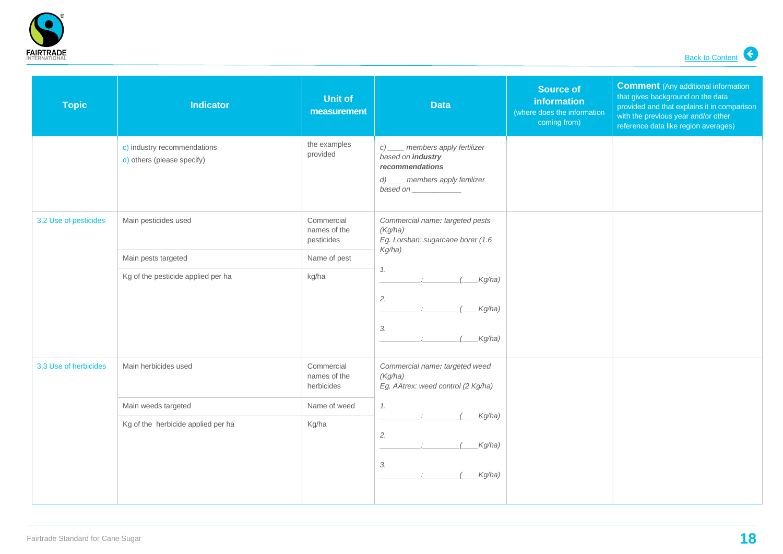

| <b>Topic</b>          | <b>Indicator</b>                                          | <b>Unit of</b><br>measurement            | <b>Data</b>                                                                                                                               | <b>Source of</b><br>information<br>(where does the information<br>coming from) | <b>Comment</b> (Any additional information<br>that gives background on the data<br>provided and that explains it in comparison<br>with the previous year and/or other<br>reference data like region averages) |
|-----------------------|-----------------------------------------------------------|------------------------------------------|-------------------------------------------------------------------------------------------------------------------------------------------|--------------------------------------------------------------------------------|---------------------------------------------------------------------------------------------------------------------------------------------------------------------------------------------------------------|
|                       | c) industry recommendations<br>d) others (please specify) | the examples<br>provided                 | c) ____ members apply fertilizer<br>based on industry<br>recommendations<br>d) ____ members apply fertilizer<br>based on                  |                                                                                |                                                                                                                                                                                                               |
| 3.2 Use of pesticides | Main pesticides used                                      | Commercial<br>names of the<br>pesticides | Commercial name: targeted pests<br>(Kg/ha)<br>Eg. Lorsban: sugarcane borer (1.6<br>Kg/ha)<br>1.<br>Kg/ha)<br>2.<br>Kg/ha)<br>3.<br>Kg/ha) |                                                                                |                                                                                                                                                                                                               |
|                       | Main pests targeted                                       | Name of pest                             |                                                                                                                                           |                                                                                |                                                                                                                                                                                                               |
|                       | Kg of the pesticide applied per ha                        | kg/ha                                    |                                                                                                                                           |                                                                                |                                                                                                                                                                                                               |
| 3.3 Use of herbicides | Main herbicides used                                      | Commercial<br>names of the<br>herbicides | Commercial name: targeted weed<br>(Kg/ha)<br>Eg. AAtrex: weed control (2 Kg/ha)<br>1.                                                     |                                                                                |                                                                                                                                                                                                               |
|                       | Main weeds targeted                                       | Name of weed                             |                                                                                                                                           |                                                                                |                                                                                                                                                                                                               |
|                       | Kg of the herbicide applied per ha                        | Kg/ha                                    | Kg/ha)<br>2.<br>Kg/ha)<br>3.<br>Kg/ha)                                                                                                    |                                                                                |                                                                                                                                                                                                               |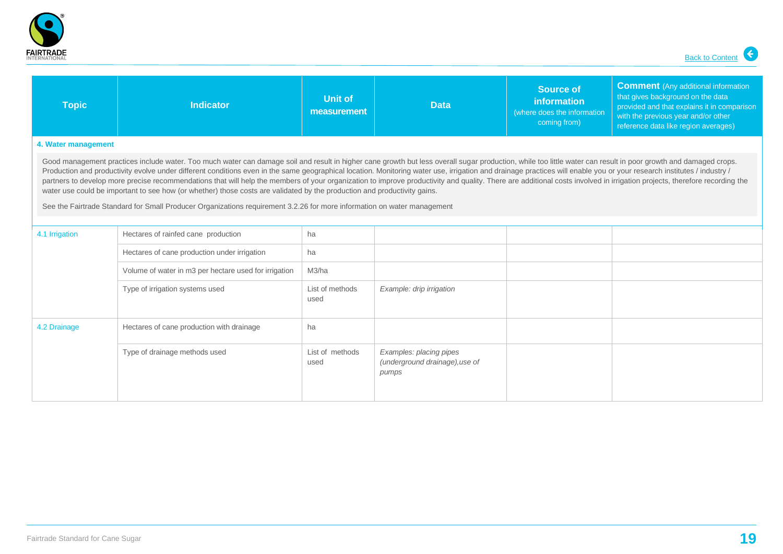

| <b>Topic</b>                                                                                                                                                                                                                                                                                                                                                                                                                                                                                                                                                                                                                                                                                                                                                                                                                                                                                                                  | <b>Indicator</b>                                      | Unit of<br>measurement  | <b>Data</b>                                                        | <b>Source of</b><br>information<br>(where does the information<br>coming from) | <b>Comment</b> (Any additional information<br>that gives background on the data<br>provided and that explains it in comparison<br>with the previous year and/or other<br>reference data like region averages) |  |  |
|-------------------------------------------------------------------------------------------------------------------------------------------------------------------------------------------------------------------------------------------------------------------------------------------------------------------------------------------------------------------------------------------------------------------------------------------------------------------------------------------------------------------------------------------------------------------------------------------------------------------------------------------------------------------------------------------------------------------------------------------------------------------------------------------------------------------------------------------------------------------------------------------------------------------------------|-------------------------------------------------------|-------------------------|--------------------------------------------------------------------|--------------------------------------------------------------------------------|---------------------------------------------------------------------------------------------------------------------------------------------------------------------------------------------------------------|--|--|
| 4. Water management                                                                                                                                                                                                                                                                                                                                                                                                                                                                                                                                                                                                                                                                                                                                                                                                                                                                                                           |                                                       |                         |                                                                    |                                                                                |                                                                                                                                                                                                               |  |  |
| Good management practices include water. Too much water can damage soil and result in higher cane growth but less overall sugar production, while too little water can result in poor growth and damaged crops.<br>Production and productivity evolve under different conditions even in the same geographical location. Monitoring water use, irrigation and drainage practices will enable you or your research institutes / industry /<br>partners to develop more precise recommendations that will help the members of your organization to improve productivity and quality. There are additional costs involved in irrigation projects, therefore recording the<br>water use could be important to see how (or whether) those costs are validated by the production and productivity gains.<br>See the Fairtrade Standard for Small Producer Organizations requirement 3.2.26 for more information on water management |                                                       |                         |                                                                    |                                                                                |                                                                                                                                                                                                               |  |  |
| 4.1 Irrigation                                                                                                                                                                                                                                                                                                                                                                                                                                                                                                                                                                                                                                                                                                                                                                                                                                                                                                                | Hectares of rainfed cane production                   | ha                      |                                                                    |                                                                                |                                                                                                                                                                                                               |  |  |
|                                                                                                                                                                                                                                                                                                                                                                                                                                                                                                                                                                                                                                                                                                                                                                                                                                                                                                                               | Hectares of cane production under irrigation          | ha                      |                                                                    |                                                                                |                                                                                                                                                                                                               |  |  |
|                                                                                                                                                                                                                                                                                                                                                                                                                                                                                                                                                                                                                                                                                                                                                                                                                                                                                                                               | Volume of water in m3 per hectare used for irrigation | M3/ha                   |                                                                    |                                                                                |                                                                                                                                                                                                               |  |  |
|                                                                                                                                                                                                                                                                                                                                                                                                                                                                                                                                                                                                                                                                                                                                                                                                                                                                                                                               | Type of irrigation systems used                       | List of methods<br>used | Example: drip irrigation                                           |                                                                                |                                                                                                                                                                                                               |  |  |
| 4.2 Drainage                                                                                                                                                                                                                                                                                                                                                                                                                                                                                                                                                                                                                                                                                                                                                                                                                                                                                                                  | Hectares of cane production with drainage             | ha                      |                                                                    |                                                                                |                                                                                                                                                                                                               |  |  |
|                                                                                                                                                                                                                                                                                                                                                                                                                                                                                                                                                                                                                                                                                                                                                                                                                                                                                                                               | Type of drainage methods used                         | List of methods<br>used | Examples: placing pipes<br>(underground drainage), use of<br>pumps |                                                                                |                                                                                                                                                                                                               |  |  |